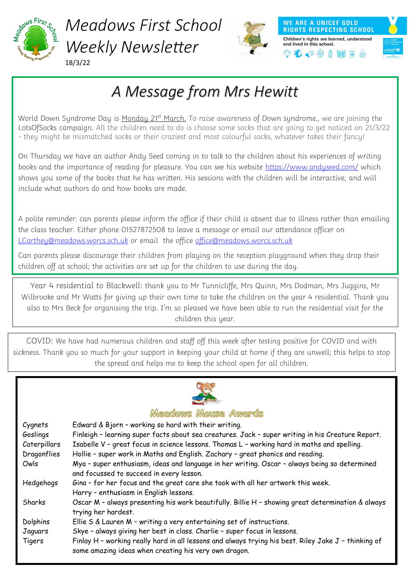

## *Meadows First School Weekly Newsletter* 18/3/22





## *A Message from Mrs Hewitt*

World Down Syndrome Day is Monday 21<sup>st</sup> March. To raise awareness of Down syndrome., we are joining the LotsOfSocks campaign. All the children need to do is choose some socks that are going to get noticed on 21/3/22 - they might be mismatched socks or their craziest and most colourful socks, whatever takes their fancy!

On Thursday we have an author Andy Seed coming in to talk to the children about his experiences of writing books and the importance of reading for pleasure. You can see his website<https://www.andyseed.com/> which shows you some of the books that he has written. His sessions with the children will be interactive, and will include what authors do and how books are made.

A polite reminder: can parents please inform the office if their child is absent due to illness rather than emailing the class teacher. Either phone 01527872508 to leave a message or email our attendance officer on [LCarthey@meadows.worcs.sch.uk](mailto:LCarthey@meadows.worcs.sch.uk) or email the office [office@meadows.worcs.sch.uk](mailto:office@meadows.worcs.sch.uk)

Can parents please discourage their children from playing on the reception playground when they drop their children off at school; the activities are set up for the children to use during the day.

Year 4 residential to Blackwell: thank you to Mr Tunnicliffe, Mrs Quinn, Mrs Dodman, Mrs Juggins, Mr Wilbrooke and Mr Watts for giving up their own time to take the children on the year 4 residential. Thank you also to Mrs Beck for organising the trip. I'm so pleased we have been able to run the residential visit for the children this year.

COVID: We have had numerous children and staff off this week after testing positive for COVID and with sickness. Thank you so much for your support in keeping your child at home if they are unwell; this helps to stop the spread and helps me to keep the school open for all children.



### Meadows Mouse Awards

| Cygnets      | Edward & Bjorn - working so hard with their writing.                                                                                                          |
|--------------|---------------------------------------------------------------------------------------------------------------------------------------------------------------|
| Goslings     | Finleigh - learning super facts about sea creatures. Jack - super writing in his Creature Report.                                                             |
| Caterpillars | Isabelle V - great focus in science lessons. Thomas L - working hard in maths and spelling.                                                                   |
| Dragonflies  | Hollie - super work in Maths and English. Zachary - great phonics and reading.                                                                                |
| Owls         | Mya - super enthusiasm, ideas and language in her writing. Oscar - always being so determined<br>and focussed to succeed in every lesson.                     |
| Hedgehogs    | Gina - for her focus and the great care she took with all her artwork this week.                                                                              |
|              | Harry - enthusiasm in English lessons.                                                                                                                        |
| Sharks       | Oscar M - always presenting his work beautifully. Billie H - showing great determination & always<br>trying her hardest.                                      |
| Dolphins     | Ellie S & Lauren M - writing a very entertaining set of instructions.                                                                                         |
| Jaguars      | Skye - always giving her best in class. Charlie - super focus in lessons.                                                                                     |
| Tigers       | Finlay H - working really hard in all lessons and always trying his best. Riley Jake J - thinking of<br>some amazing ideas when creating his very own dragon. |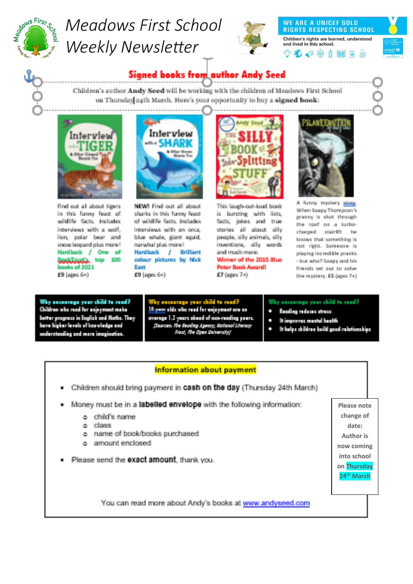

# **Meadows First School** Weekly Newsletter



#### **WE ARE A UNICEF GOLD RIGHTS RESPECTING SCHOOL**

Children's rights are learned, understood and lived in this school. やもいもしてる



## Signed books from author Andy Seed Children's author Andy Seed will be working with the children of Meadows First School on Thursday 24th March. Here's your opportunity to buy a signed book:



Find out all about tipers. in this funny feast of wildlife facts, includes interviews with a wolf, lion, polar bear and snow leopard plus more! Hardback / One of Conception top 100 books of 2021 £9 (ages 6+)

NEW! Find out all about sharks in this funny feast. of wildlife facts, Includes interviews with an orca. blue whale, giant squid, nary/hal plus more! Hardback / Brilliant colour pictures by Nick **Bast** £9 (ages 6+)

\_\_\_\_\_\_\_\_\_\_\_\_\_\_\_



This laugh-out-loud book is bursting with lists, facts, joles and true stories all about silly people, silly animals, silly inventions, silly words. and much more. Winner of the 2015 Blue-Peter Book Award!

£7 (ages 7+).



A funny mattery share When Seapy Thom paper's grantsy is shot through the roof on a turbocharged stairlift he knows that something is not right. Someone is playing incredible pranks. - but who? Sougy and his friends set out to solve the raystery. E5 (ages 7+)

Why encourage your child to read? Children who read for enjoyment make better progress in English and Noths. They have higher levels of knowledge and understanding and more imagination.

on your child to read? <u>Missour alds who med for anjoyment are an</u> overage 1.3 years cheed of non-reading poem. Searces. The Reading Agency, Ballance Library. Frest, The Open Entercally!

#### Why encourage your child to read?

- Kraling referentinger
- It improves mental leadship
- It halps children build good relationships.

### **Information about payment**

- Children should bring payment in cash on the day (Thursday 24th March)
- Money must be in a labelled envelope with the following information:
	- o child's name
	- o class.
	- o name of book/books purchased
	- o amount enclosed
- · Please send the exact amount, thank you.

**Please note** change of date: **Author is** now coming into school on Thursday 24<sup>th</sup> March

You can read more about Andy's books at www.andyseed.com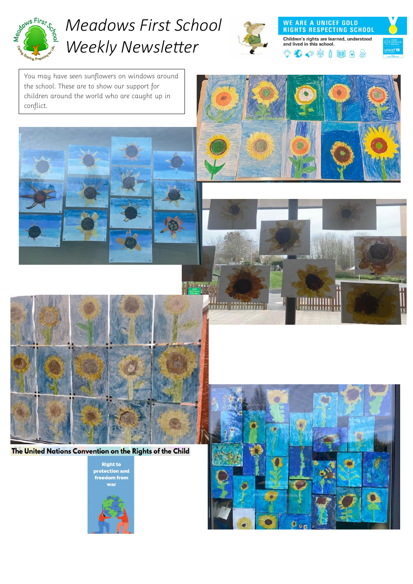

## *Meadows First School Weekly Newsletter*





You may have seen sunflowers on windows around the school. These are to show our support for children around the world who are caught up in conflict.





 $|y|$ 

<u>iiiii iiiiiiii</u>



The United Nations Convention on the Rights of the Child